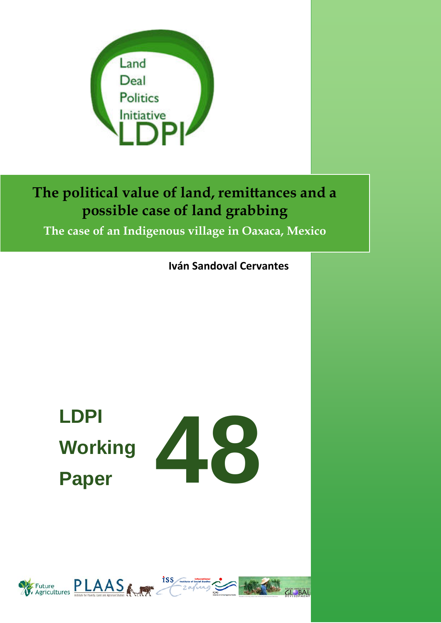

## **The political value of land, remittances and a possible case of land grabbing**

**The case of an Indigenous village in Oaxaca, Mexico**

**Iván Sandoval Cervantes**

# **LDPI Working Paper**

**48**

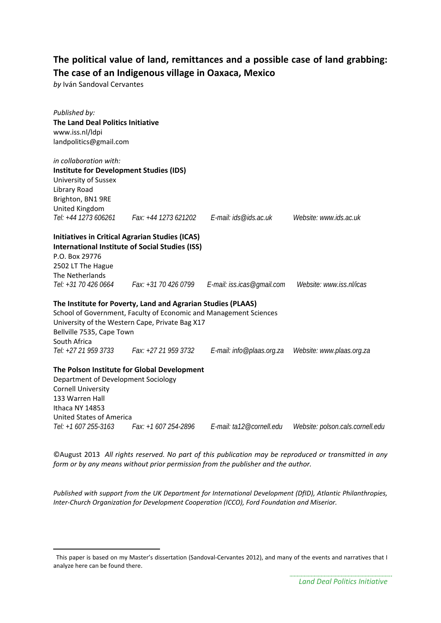#### **The political value of land, remittances and a possible case of land grabbing: The case of an Indigenous village in Oaxaca, Mexico**

*by* Iván Sandoval Cervantes

 $\overline{a}$ 

| Published by:<br><b>The Land Deal Politics Initiative</b><br>www.iss.nl/ldpi<br>landpolitics@gmail.com                                                                                                                                                    |                                               |                            |                                  |
|-----------------------------------------------------------------------------------------------------------------------------------------------------------------------------------------------------------------------------------------------------------|-----------------------------------------------|----------------------------|----------------------------------|
| in collaboration with:<br><b>Institute for Development Studies (IDS)</b><br>University of Sussex<br>Library Road<br>Brighton, BN1 9RE<br>United Kingdom<br>Tel: +44 1273 606261                                                                           | Fax: +44 1273 621202    E-mail: ids@ids.ac.uk |                            | Website: www.ids.ac.uk           |
| <b>Initiatives in Critical Agrarian Studies (ICAS)</b><br><b>International Institute of Social Studies (ISS)</b><br>P.O. Box 29776<br>2502 LT The Hague<br>The Netherlands<br>Tel: +31 70 426 0664                                                        | Fax: +31 70 426 0799                          | E-mail: iss.icas@gmail.com | Website: www.iss.nl/icas         |
| The Institute for Poverty, Land and Agrarian Studies (PLAAS)<br>School of Government, Faculty of Economic and Management Sciences<br>University of the Western Cape, Private Bag X17<br>Bellville 7535, Cape Town<br>South Africa<br>Tel: +27 21 959 3733 | Fax: +27 21 959 3732                          | E-mail: info@plaas.org.za  | Website: www.plaas.org.za        |
| The Polson Institute for Global Development<br>Department of Development Sociology<br><b>Cornell University</b><br>133 Warren Hall<br>Ithaca NY 14853<br><b>United States of America</b><br>Tel: +1 607 255-3163                                          | Fax: +1 607 254-2896                          | E-mail: ta12@cornell.edu   | Website: polson.cals.cornell.edu |

©August 2013 *All rights reserved. No part of this publication may be reproduced or transmitted in any form or by any means without prior permission from the publisher and the author.*

*Published with support from the UK Department for International Development (DfID), Atlantic Philanthropies, Inter-Church Organization for Development Cooperation (ICCO), Ford Foundation and Miserior.*

<span id="page-1-0"></span>This paper is based on my Master's dissertation (Sandoval-Cervantes 2012), and many of the events and narratives that I analyze here can be found there.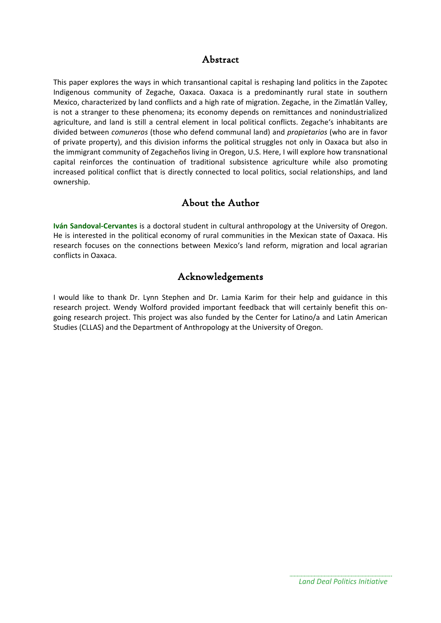#### Abstract

This paper explores the ways in which transantional capital is reshaping land politics in the Zapotec Indigenous community of Zegache, Oaxaca. Oaxaca is a predominantly rural state in southern Mexico, characterized by land conflicts and a high rate of migration. Zegache, in the Zimatlán Valley, is not a stranger to these phenomena; its economy depends on remittances and nonindustrialized agriculture, and land is still a central element in local political conflicts. Zegache's inhabitants are divided between *comuneros* (those who defend communal land) and *propietarios* (who are in favor of private property), and this division informs the political struggles not only in Oaxaca but also in the immigrant community of Zegacheños living in Oregon, U.S. Here, I will explore how transnational capital reinforces the continuation of traditional subsistence agriculture while also promoting increased political conflict that is directly connected to local politics, social relationships, and land ownership.

#### About the Author

**Iván Sandoval-Cervantes** is a doctoral student in cultural anthropology at the University of Oregon. He is interested in the political economy of rural communities in the Mexican state of Oaxaca. His research focuses on the connections between Mexico's land reform, migration and local agrarian conflicts in Oaxaca.

#### Acknowledgements

I would like to thank Dr. Lynn Stephen and Dr. Lamia Karim for their help and guidance in this research project. Wendy Wolford provided important feedback that will certainly benefit this ongoing research project. This project was also funded by the Center for Latino/a and Latin American Studies (CLLAS) and the Department of Anthropology at the University of Oregon.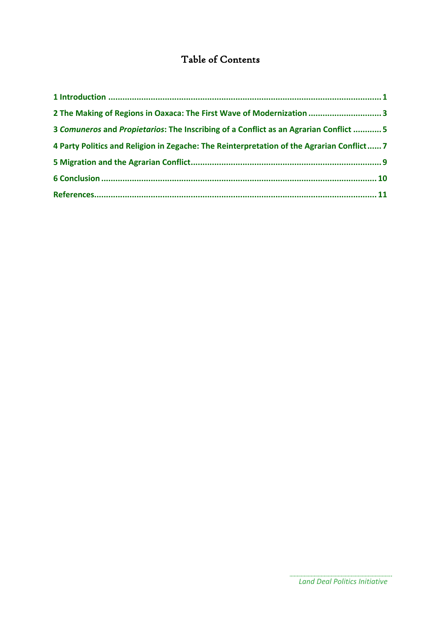### Table of Contents

| 2 The Making of Regions in Oaxaca: The First Wave of Modernization  3                     |  |
|-------------------------------------------------------------------------------------------|--|
| 3 Comuneros and Propietarios: The Inscribing of a Conflict as an Agrarian Conflict  5     |  |
| 4 Party Politics and Religion in Zegache: The Reinterpretation of the Agrarian Conflict 7 |  |
|                                                                                           |  |
|                                                                                           |  |
|                                                                                           |  |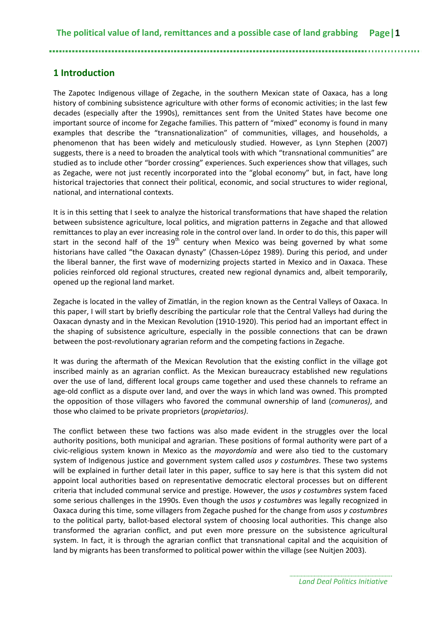#### <span id="page-4-0"></span>**1 Introduction**

The Zapotec Indigenous village of Zegache, in the southern Mexican state of Oaxaca, has a long history of combining subsistence agriculture with other forms of economic activities; in the last few decades (especially after the 1990s), remittances sent from the United States have become one important source of income for Zegache families. This pattern of "mixed" economy is found in many examples that describe the "transnationalization" of communities, villages, and households, a phenomenon that has been widely and meticulously studied. However, as Lynn Stephen (2007) suggests, there is a need to broaden the analytical tools with which "transnational communities" are studied as to include other "border crossing" experiences. Such experiences show that villages, such as Zegache, were not just recently incorporated into the "global economy" but, in fact, have long historical trajectories that connect their political, economic, and social structures to wider regional, national, and international contexts.

It is in this setting that I seek to analyze the historical transformations that have shaped the relation between subsistence agriculture, local politics, and migration patterns in Zegache and that allowed remittances to play an ever increasing role in the control over land. In order to do this, this paper will start in the second half of the  $19<sup>th</sup>$  century when Mexico was being governed by what some historians have called "the Oaxacan dynasty" (Chassen-López 1989). During this period, and under the liberal banner, the first wave of modernizing projects started in Mexico and in Oaxaca. These policies reinforced old regional structures, created new regional dynamics and, albeit temporarily, opened up the regional land market.

Zegache is located in the valley of Zimatlán, in the region known as the Central Valleys of Oaxaca. In this paper, I will start by briefly describing the particular role that the Central Valleys had during the Oaxacan dynasty and in the Mexican Revolution (1910-1920). This period had an important effect in the shaping of subsistence agriculture, especially in the possible connections that can be drawn between the post-revolutionary agrarian reform and the competing factions in Zegache.

It was during the aftermath of the Mexican Revolution that the existing conflict in the village got inscribed mainly as an agrarian conflict. As the Mexican bureaucracy established new regulations over the use of land, different local groups came together and used these channels to reframe an age-old conflict as a dispute over land, and over the ways in which land was owned. This prompted the opposition of those villagers who favored the communal ownership of land (*comuneros)*, and those who claimed to be private proprietors (*propietarios)*.

The conflict between these two factions was also made evident in the struggles over the local authority positions, both municipal and agrarian. These positions of formal authority were part of a civic-religious system known in Mexico as the *mayordomía* and were also tied to the customary system of Indigenous justice and government system called *usos y costumbres*. These two systems will be explained in further detail later in this paper, suffice to say here is that this system did not appoint local authorities based on representative democratic electoral processes but on different criteria that included communal service and prestige. However, the *usos y costumbres* system faced some serious challenges in the 1990s. Even though the *usos y costumbres* was legally recognized in Oaxaca during this time, some villagers from Zegache pushed for the change from *usos y costumbres*  to the political party, ballot-based electoral system of choosing local authorities. This change also transformed the agrarian conflict, and put even more pressure on the subsistence agricultural system. In fact, it is through the agrarian conflict that transnational capital and the acquisition of land by migrants has been transformed to political power within the village (see Nuitjen 2003).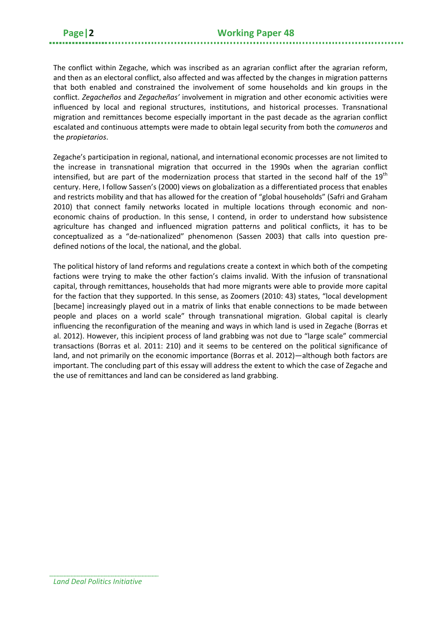The conflict within Zegache, which was inscribed as an agrarian conflict after the agrarian reform, and then as an electoral conflict, also affected and was affected by the changes in migration patterns that both enabled and constrained the involvement of some households and kin groups in the conflict. *Zegacheños* and *Zegacheñas'* involvement in migration and other economic activities were influenced by local and regional structures, institutions, and historical processes. Transnational migration and remittances become especially important in the past decade as the agrarian conflict escalated and continuous attempts were made to obtain legal security from both the *comuneros* and the *propietarios*.

Zegache's participation in regional, national, and international economic processes are not limited to the increase in transnational migration that occurred in the 1990s when the agrarian conflict intensified, but are part of the modernization process that started in the second half of the 19<sup>th</sup> century. Here, I follow Sassen's (2000) views on globalization as a differentiated process that enables and restricts mobility and that has allowed for the creation of "global households" (Safri and Graham 2010) that connect family networks located in multiple locations through economic and noneconomic chains of production. In this sense, I contend, in order to understand how subsistence agriculture has changed and influenced migration patterns and political conflicts, it has to be conceptualized as a "de-nationalized" phenomenon (Sassen 2003) that calls into question predefined notions of the local, the national, and the global.

The political history of land reforms and regulations create a context in which both of the competing factions were trying to make the other faction's claims invalid. With the infusion of transnational capital, through remittances, households that had more migrants were able to provide more capital for the faction that they supported. In this sense, as Zoomers (2010: 43) states, "local development [became] increasingly played out in a matrix of links that enable connections to be made between people and places on a world scale" through transnational migration. Global capital is clearly influencing the reconfiguration of the meaning and ways in which land is used in Zegache (Borras et al. 2012). However, this incipient process of land grabbing was not due to "large scale" commercial transactions (Borras et al. 2011: 210) and it seems to be centered on the political significance of land, and not primarily on the economic importance (Borras et al. 2012)—although both factors are important. The concluding part of this essay will address the extent to which the case of Zegache and the use of remittances and land can be considered as land grabbing.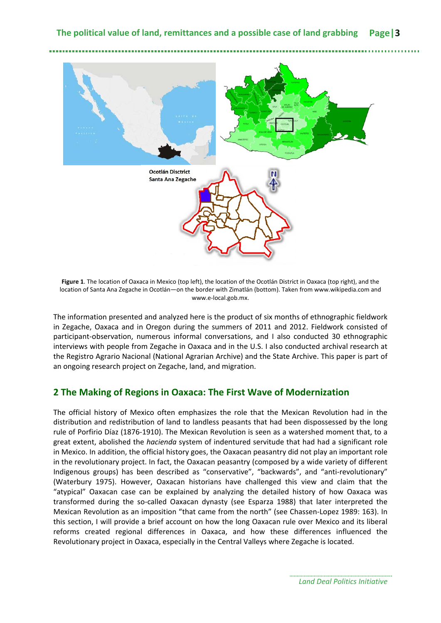

**Figure 1**. The location of Oaxaca in Mexico (top left), the location of the Ocotlán District in Oaxaca (top right), and the location of Santa Ana Zegache in Ocotlán—on the border with Zimatlán (bottom). Taken from www.wikipedia.com and www.e-local.gob.mx.

The information presented and analyzed here is the product of six months of ethnographic fieldwork in Zegache, Oaxaca and in Oregon during the summers of 2011 and 2012. Fieldwork consisted of participant-observation, numerous informal conversations, and I also conducted 30 ethnographic interviews with people from Zegache in Oaxaca and in the U.S. I also conducted archival research at the Registro Agrario Nacional (National Agrarian Archive) and the State Archive. This paper is part of an ongoing research project on Zegache, land, and migration.

#### <span id="page-6-0"></span>**2 The Making of Regions in Oaxaca: The First Wave of Modernization**

The official history of Mexico often emphasizes the role that the Mexican Revolution had in the distribution and redistribution of land to landless peasants that had been dispossessed by the long rule of Porfirio Díaz (1876-1910). The Mexican Revolution is seen as a watershed moment that, to a great extent, abolished the *hacienda* system of indentured servitude that had had a significant role in Mexico. In addition, the official history goes, the Oaxacan peasantry did not play an important role in the revolutionary project. In fact, the Oaxacan peasantry (composed by a wide variety of different Indigenous groups) has been described as "conservative", "backwards", and "anti-revolutionary" (Waterbury 1975). However, Oaxacan historians have challenged this view and claim that the "atypical" Oaxacan case can be explained by analyzing the detailed history of how Oaxaca was transformed during the so-called Oaxacan dynasty (see Esparza 1988) that later interpreted the Mexican Revolution as an imposition "that came from the north" (see Chassen-Lopez 1989: 163). In this section, I will provide a brief account on how the long Oaxacan rule over Mexico and its liberal reforms created regional differences in Oaxaca, and how these differences influenced the Revolutionary project in Oaxaca, especially in the Central Valleys where Zegache is located.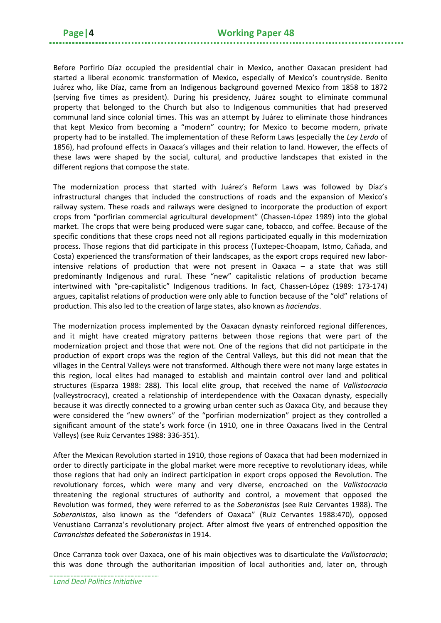Before Porfirio Díaz occupied the presidential chair in Mexico, another Oaxacan president had started a liberal economic transformation of Mexico, especially of Mexico's countryside. Benito Juárez who, like Díaz, came from an Indigenous background governed Mexico from 1858 to 1872 (serving five times as president). During his presidency, Juárez sought to eliminate communal property that belonged to the Church but also to Indigenous communities that had preserved communal land since colonial times. This was an attempt by Juárez to eliminate those hindrances that kept Mexico from becoming a "modern" country; for Mexico to become modern, private property had to be installed. The implementation of these Reform Laws (especially the *Ley Lerdo* of 1856), had profound effects in Oaxaca's villages and their relation to land. However, the effects of these laws were shaped by the social, cultural, and productive landscapes that existed in the different regions that compose the state.

The modernization process that started with Juárez's Reform Laws was followed by Díaz's infrastructural changes that included the constructions of roads and the expansion of Mexico's railway system. These roads and railways were designed to incorporate the production of export crops from "porfirian commercial agricultural development" (Chassen-López 1989) into the global market. The crops that were being produced were sugar cane, tobacco, and coffee. Because of the specific conditions that these crops need not all regions participated equally in this modernization process. Those regions that did participate in this process (Tuxtepec-Choapam, Istmo, Cañada, and Costa) experienced the transformation of their landscapes, as the export crops required new laborintensive relations of production that were not present in Oaxaca – a state that was still predominantly Indigenous and rural. These "new" capitalistic relations of production became intertwined with "pre-capitalistic" Indigenous traditions. In fact, Chassen-López (1989: 173-174) argues, capitalist relations of production were only able to function because of the "old" relations of production. This also led to the creation of large states, also known as *haciendas*.

The modernization process implemented by the Oaxacan dynasty reinforced regional differences, and it might have created migratory patterns between those regions that were part of the modernization project and those that were not. One of the regions that did not participate in the production of export crops was the region of the Central Valleys, but this did not mean that the villages in the Central Valleys were not transformed. Although there were not many large estates in this region, local elites had managed to establish and maintain control over land and political structures (Esparza 1988: 288). This local elite group, that received the name of *Vallistocracia* (valleystrocracy), created a relationship of interdependence with the Oaxacan dynasty, especially because it was directly connected to a growing urban center such as Oaxaca City, and because they were considered the "new owners" of the "porfirian modernization" project as they controlled a significant amount of the state's work force (in 1910, one in three Oaxacans lived in the Central Valleys) (see Ruiz Cervantes 1988: 336-351).

After the Mexican Revolution started in 1910, those regions of Oaxaca that had been modernized in order to directly participate in the global market were more receptive to revolutionary ideas, while those regions that had only an indirect participation in export crops opposed the Revolution. The revolutionary forces, which were many and very diverse, encroached on the *Vallistocracia* threatening the regional structures of authority and control, a movement that opposed the Revolution was formed, they were referred to as the *Soberanistas* (see Ruiz Cervantes 1988). The *Soberanistas*, also known as the "defenders of Oaxaca" (Ruiz Cervantes 1988:470), opposed Venustiano Carranza's revolutionary project. After almost five years of entrenched opposition the *Carrancistas* defeated the *Soberanistas* in 1914.

Once Carranza took over Oaxaca, one of his main objectives was to disarticulate the *Vallistocracia*; this was done through the authoritarian imposition of local authorities and, later on, through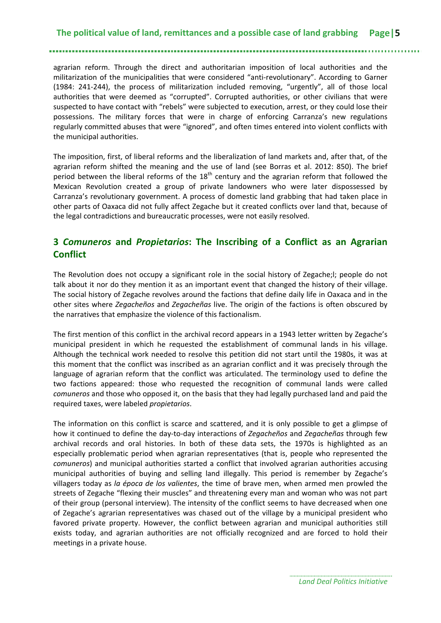#### **The political value of land, remittances and a possible case of land grabbing Page|5**

agrarian reform. Through the direct and authoritarian imposition of local authorities and the militarization of the municipalities that were considered "anti-revolutionary". According to Garner (1984: 241-244), the process of militarization included removing, "urgently", all of those local authorities that were deemed as "corrupted". Corrupted authorities, or other civilians that were suspected to have contact with "rebels" were subjected to execution, arrest, or they could lose their possessions. The military forces that were in charge of enforcing Carranza's new regulations regularly committed abuses that were "ignored", and often times entered into violent conflicts with the municipal authorities.

The imposition, first, of liberal reforms and the liberalization of land markets and, after that, of the agrarian reform shifted the meaning and the use of land (see Borras et al. 2012: 850). The brief period between the liberal reforms of the  $18<sup>th</sup>$  century and the agrarian reform that followed the Mexican Revolution created a group of private landowners who were later dispossessed by Carranza's revolutionary government. A process of domestic land grabbing that had taken place in other parts of Oaxaca did not fully affect Zegache but it created conflicts over land that, because of the legal contradictions and bureaucratic processes, were not easily resolved.

#### <span id="page-8-0"></span>**3** *Comuneros* **and** *Propietarios***: The Inscribing of a Conflict as an Agrarian Conflict**

The Revolution does not occupy a significant role in the social history of Zegache;l; people do not talk about it nor do they mention it as an important event that changed the history of their village. The social history of Zegache revolves around the factions that define daily life in Oaxaca and in the other sites where *Zegacheños* and *Zegacheñas* live. The origin of the factions is often obscured by the narratives that emphasize the violence of this factionalism.

The first mention of this conflict in the archival record appears in a 1943 letter written by Zegache's municipal president in which he requested the establishment of communal lands in his village. Although the technical work needed to resolve this petition did not start until the 1980s, it was at this moment that the conflict was inscribed as an agrarian conflict and it was precisely through the language of agrarian reform that the conflict was articulated. The terminology used to define the two factions appeared: those who requested the recognition of communal lands were called *comuneros* and those who opposed it, on the basis that they had legally purchased land and paid the required taxes, were labeled *propietarios*.

The information on this conflict is scarce and scattered, and it is only possible to get a glimpse of how it continued to define the day-to-day interactions of *Zegacheños* and *Zegacheñas* through few archival records and oral histories. In both of these data sets, the 1970s is highlighted as an especially problematic period when agrarian representatives (that is, people who represented the *comuneros*) and municipal authorities started a conflict that involved agrarian authorities accusing municipal authorities of buying and selling land illegally. This period is remember by Zegache's villagers today as *la época de los valientes*, the time of brave men, when armed men prowled the streets of Zegache "flexing their muscles" and threatening every man and woman who was not part of their group (personal interview). The intensity of the conflict seems to have decreased when one of Zegache's agrarian representatives was chased out of the village by a municipal president who favored private property. However, the conflict between agrarian and municipal authorities still exists today, and agrarian authorities are not officially recognized and are forced to hold their meetings in a private house.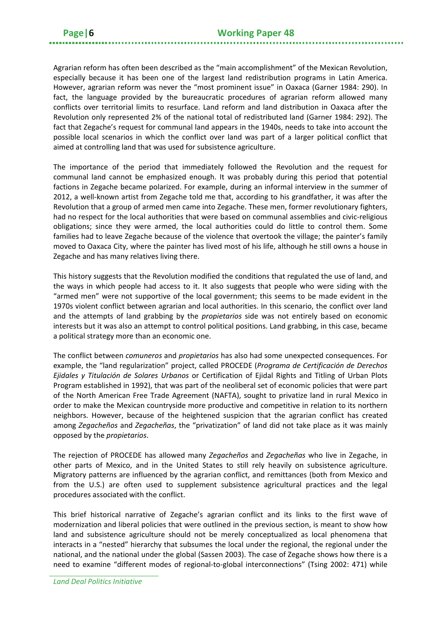Agrarian reform has often been described as the "main accomplishment" of the Mexican Revolution, especially because it has been one of the largest land redistribution programs in Latin America. However, agrarian reform was never the "most prominent issue" in Oaxaca (Garner 1984: 290). In fact, the language provided by the bureaucratic procedures of agrarian reform allowed many conflicts over territorial limits to resurface. Land reform and land distribution in Oaxaca after the Revolution only represented 2% of the national total of redistributed land (Garner 1984: 292). The fact that Zegache's request for communal land appears in the 1940s, needs to take into account the possible local scenarios in which the conflict over land was part of a larger political conflict that aimed at controlling land that was used for subsistence agriculture.

The importance of the period that immediately followed the Revolution and the request for communal land cannot be emphasized enough. It was probably during this period that potential factions in Zegache became polarized. For example, during an informal interview in the summer of 2012, a well-known artist from Zegache told me that, according to his grandfather, it was after the Revolution that a group of armed men came into Zegache. These men, former revolutionary fighters, had no respect for the local authorities that were based on communal assemblies and civic-religious obligations; since they were armed, the local authorities could do little to control them. Some families had to leave Zegache because of the violence that overtook the village; the painter's family moved to Oaxaca City, where the painter has lived most of his life, although he still owns a house in Zegache and has many relatives living there.

This history suggests that the Revolution modified the conditions that regulated the use of land, and the ways in which people had access to it. It also suggests that people who were siding with the "armed men" were not supportive of the local government; this seems to be made evident in the 1970s violent conflict between agrarian and local authorities. In this scenario, the conflict over land and the attempts of land grabbing by the *propietarios* side was not entirely based on economic interests but it was also an attempt to control political positions. Land grabbing, in this case, became a political strategy more than an economic one.

The conflict between *comuneros* and *propietarios* has also had some unexpected consequences. For example, the "land regularization" project, called PROCEDE (*Programa de Certificación de Derechos Ejidales y Titulación de Solares Urbanos* or Certification of Ejidal Rights and Titling of Urban Plots Program established in 1992), that was part of the neoliberal set of economic policies that were part of the North American Free Trade Agreement (NAFTA), sought to privatize land in rural Mexico in order to make the Mexican countryside more productive and competitive in relation to its northern neighbors. However, because of the heightened suspicion that the agrarian conflict has created among *Zegacheños* and *Zegacheñas*, the "privatization" of land did not take place as it was mainly opposed by the *propietarios*.

The rejection of PROCEDE has allowed many *Zegacheños* and *Zegacheñas* who live in Zegache, in other parts of Mexico, and in the United States to still rely heavily on subsistence agriculture. Migratory patterns are influenced by the agrarian conflict, and remittances (both from Mexico and from the U.S.) are often used to supplement subsistence agricultural practices and the legal procedures associated with the conflict.

This brief historical narrative of Zegache's agrarian conflict and its links to the first wave of modernization and liberal policies that were outlined in the previous section, is meant to show how land and subsistence agriculture should not be merely conceptualized as local phenomena that interacts in a "nested" hierarchy that subsumes the local under the regional, the regional under the national, and the national under the global (Sassen 2003). The case of Zegache shows how there is a need to examine "different modes of regional-to-global interconnections" (Tsing 2002: 471) while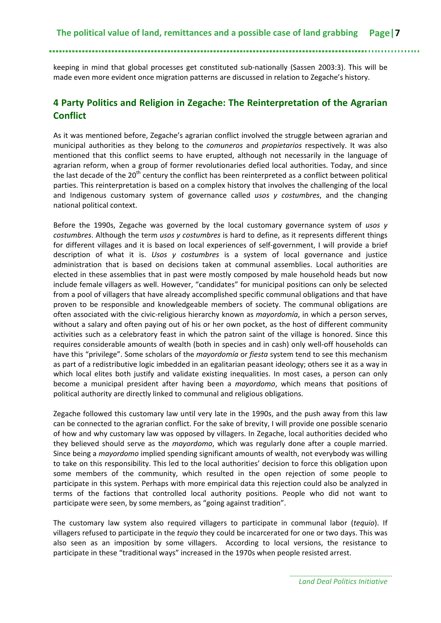keeping in mind that global processes get constituted sub-nationally (Sassen 2003:3). This will be made even more evident once migration patterns are discussed in relation to Zegache's history.

#### <span id="page-10-0"></span>**4 Party Politics and Religion in Zegache: The Reinterpretation of the Agrarian Conflict**

As it was mentioned before, Zegache's agrarian conflict involved the struggle between agrarian and municipal authorities as they belong to the *comuneros* and *propietarios* respectively. It was also mentioned that this conflict seems to have erupted, although not necessarily in the language of agrarian reform, when a group of former revolutionaries defied local authorities. Today, and since the last decade of the 20<sup>th</sup> century the conflict has been reinterpreted as a conflict between political parties. This reinterpretation is based on a complex history that involves the challenging of the local and Indigenous customary system of governance called *usos y costumbres*, and the changing national political context.

Before the 1990s, Zegache was governed by the local customary governance system of *usos y costumbres*. Although the term *usos y costumbres* is hard to define, as it represents different things for different villages and it is based on local experiences of self-government, I will provide a brief description of what it is. *Usos y costumbres* is a system of local governance and justice administration that is based on decisions taken at communal assemblies. Local authorities are elected in these assemblies that in past were mostly composed by male household heads but now include female villagers as well. However, "candidates" for municipal positions can only be selected from a pool of villagers that have already accomplished specific communal obligations and that have proven to be responsible and knowledgeable members of society. The communal obligations are often associated with the civic-religious hierarchy known as *mayordomía*, in which a person serves, without a salary and often paying out of his or her own pocket, as the host of different community activities such as a celebratory feast in which the patron saint of the village is honored. Since this requires considerable amounts of wealth (both in species and in cash) only well-off households can have this "privilege". Some scholars of the *mayordomía* or *fiesta* system tend to see this mechanism as part of a redistributive logic imbedded in an egalitarian peasant ideology; others see it as a way in which local elites both justify and validate existing inequalities. In most cases, a person can only become a municipal president after having been a *mayordomo*, which means that positions of political authority are directly linked to communal and religious obligations.

Zegache followed this customary law until very late in the 1990s, and the push away from this law can be connected to the agrarian conflict. For the sake of brevity, I will provide one possible scenario of how and why customary law was opposed by villagers. In Zegache, local authorities decided who they believed should serve as the *mayordomo*, which was regularly done after a couple married. Since being a *mayordomo* implied spending significant amounts of wealth, not everybody was willing to take on this responsibility. This led to the local authorities' decision to force this obligation upon some members of the community, which resulted in the open rejection of some people to participate in this system. Perhaps with more empirical data this rejection could also be analyzed in terms of the factions that controlled local authority positions. People who did not want to participate were seen, by some members, as "going against tradition".

The customary law system also required villagers to participate in communal labor (*tequio*). If villagers refused to participate in the *tequio* they could be incarcerated for one or two days. This was also seen as an imposition by some villagers. According to local versions, the resistance to participate in these "traditional ways" increased in the 1970s when people resisted arrest.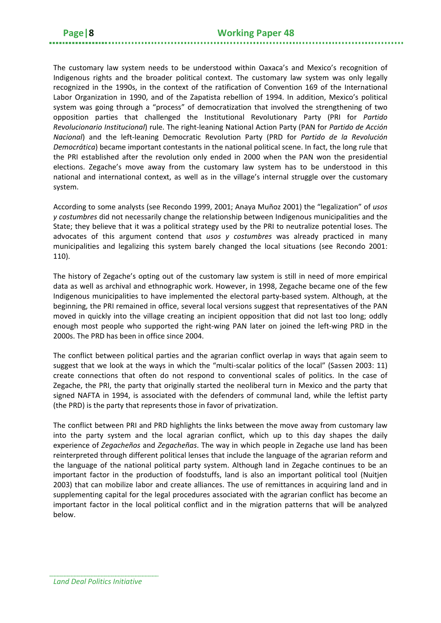The customary law system needs to be understood within Oaxaca's and Mexico's recognition of Indigenous rights and the broader political context. The customary law system was only legally recognized in the 1990s, in the context of the ratification of Convention 169 of the International Labor Organization in 1990, and of the Zapatista rebellion of 1994. In addition, Mexico's political system was going through a "process" of democratization that involved the strengthening of two opposition parties that challenged the Institutional Revolutionary Party (PRI for *Partido Revolucionario Institucional*) rule. The right-leaning National Action Party (PAN for *Partido de Acción Nacional*) and the left-leaning Democratic Revolution Party (PRD for *Partido de la Revolución Democrática*) became important contestants in the national political scene. In fact, the long rule that the PRI established after the revolution only ended in 2000 when the PAN won the presidential elections. Zegache's move away from the customary law system has to be understood in this national and international context, as well as in the village's internal struggle over the customary system.

According to some analysts (see Recondo 1999, 2001; Anaya Muñoz 2001) the "legalization" of *usos y costumbres* did not necessarily change the relationship between Indigenous municipalities and the State; they believe that it was a political strategy used by the PRI to neutralize potential loses. The advocates of this argument contend that *usos y costumbres* was already practiced in many municipalities and legalizing this system barely changed the local situations (see Recondo 2001: 110).

The history of Zegache's opting out of the customary law system is still in need of more empirical data as well as archival and ethnographic work. However, in 1998, Zegache became one of the few Indigenous municipalities to have implemented the electoral party-based system. Although, at the beginning, the PRI remained in office, several local versions suggest that representatives of the PAN moved in quickly into the village creating an incipient opposition that did not last too long; oddly enough most people who supported the right-wing PAN later on joined the left-wing PRD in the 2000s. The PRD has been in office since 2004.

The conflict between political parties and the agrarian conflict overlap in ways that again seem to suggest that we look at the ways in which the "multi-scalar politics of the local" (Sassen 2003: 11) create connections that often do not respond to conventional scales of politics. In the case of Zegache, the PRI, the party that originally started the neoliberal turn in Mexico and the party that signed NAFTA in 1994, is associated with the defenders of communal land, while the leftist party (the PRD) is the party that represents those in favor of privatization.

The conflict between PRI and PRD highlights the links between the move away from customary law into the party system and the local agrarian conflict, which up to this day shapes the daily experience of *Zegacheños* and *Zegacheñas*. The way in which people in Zegache use land has been reinterpreted through different political lenses that include the language of the agrarian reform and the language of the national political party system. Although land in Zegache continues to be an important factor in the production of foodstuffs, land is also an important political tool (Nuitjen 2003) that can mobilize labor and create alliances. The use of remittances in acquiring land and in supplementing capital for the legal procedures associated with the agrarian conflict has become an important factor in the local political conflict and in the migration patterns that will be analyzed below.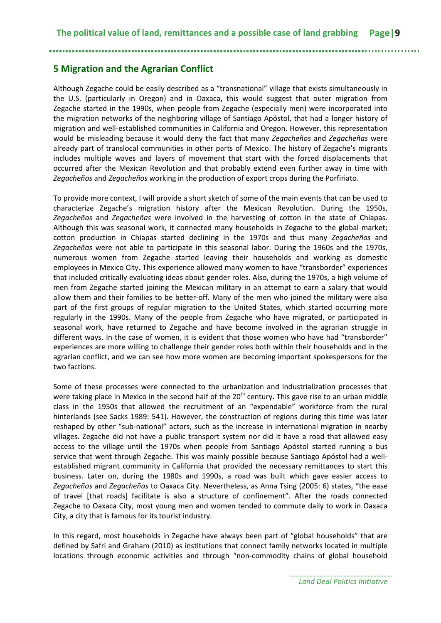#### <span id="page-12-0"></span>**5 Migration and the Agrarian Conflict**

Although Zegache could be easily described as a "transnational" village that exists simultaneously in the U.S. (particularly in Oregon) and in Oaxaca, this would suggest that outer migration from Zegache started in the 1990s, when people from Zegache (especially men) were incorporated into the migration networks of the neighboring village of Santiago Apóstol, that had a longer history of migration and well-established communities in California and Oregon. However, this representation would be misleading because it would deny the fact that many *Zegacheños* and *Zegacheñas* were already part of translocal communities in other parts of Mexico. The history of Zegache's migrants includes multiple waves and layers of movement that start with the forced displacements that occurred after the Mexican Revolution and that probably extend even further away in time with *Zegacheños* and *Zegacheños* working in the production of export crops during the Porfiriato.

To provide more context, I will provide a short sketch of some of the main events that can be used to characterize Zegache's migration history after the Mexican Revolution. During the 1950s, *Zegacheños* and *Zegacheñas* were involved in the harvesting of cotton in the state of Chiapas. Although this was seasonal work, it connected many households in Zegache to the global market; cotton production in Chiapas started declining in the 1970s and thus many *Zegacheños* and *Zegacheñas* were not able to participate in this seasonal labor. During the 1960s and the 1970s, numerous women from Zegache started leaving their households and working as domestic employees in Mexico City. This experience allowed many women to have "transborder" experiences that included critically evaluating ideas about gender roles. Also, during the 1970s, a high volume of men from Zegache started joining the Mexican military in an attempt to earn a salary that would allow them and their families to be better-off. Many of the men who joined the military were also part of the first groups of regular migration to the United States, which started occurring more regularly in the 1990s. Many of the people from Zegache who have migrated, or participated in seasonal work, have returned to Zegache and have become involved in the agrarian struggle in different ways. In the case of women, it is evident that those women who have had "transborder" experiences are more willing to challenge their gender roles both within their households and in the agrarian conflict, and we can see how more women are becoming important spokespersons for the two factions.

Some of these processes were connected to the urbanization and industrialization processes that were taking place in Mexico in the second half of the 20<sup>th</sup> century. This gave rise to an urban middle class in the 1950s that allowed the recruitment of an "expendable" workforce from the rural hinterlands (see Sacks 1989: 541). However, the construction of regions during this time was later reshaped by other "sub-national" actors, such as the increase in international migration in nearby villages. Zegache did not have a public transport system nor did it have a road that allowed easy access to the village until the 1970s when people from Santiago Apóstol started running a bus service that went through Zegache. This was mainly possible because Santiago Apóstol had a wellestablished migrant community in California that provided the necessary remittances to start this business. Later on, during the 1980s and 1990s, a road was built which gave easier access to *Zegacheños* and *Zegacheñas* to Oaxaca City. Nevertheless, as Anna Tsing (2005: 6) states, "the ease of travel [that roads] facilitate is also a structure of confinement". After the roads connected Zegache to Oaxaca City, most young men and women tended to commute daily to work in Oaxaca City, a city that is famous for its tourist industry.

In this regard, most households in Zegache have always been part of "global households" that are defined by Safri and Graham (2010) as institutions that connect family networks located in multiple locations through economic activities and through "non-commodity chains of global household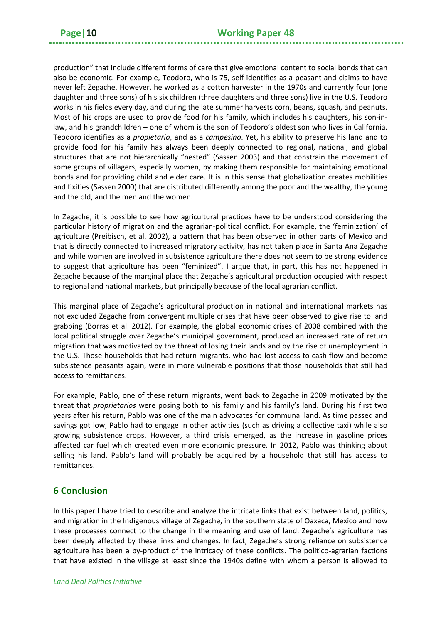production" that include different forms of care that give emotional content to social bonds that can also be economic. For example, Teodoro, who is 75, self-identifies as a peasant and claims to have never left Zegache. However, he worked as a cotton harvester in the 1970s and currently four (one daughter and three sons) of his six children (three daughters and three sons) live in the U.S. Teodoro works in his fields every day, and during the late summer harvests corn, beans, squash, and peanuts. Most of his crops are used to provide food for his family, which includes his daughters, his son-inlaw, and his grandchildren – one of whom is the son of Teodoro's oldest son who lives in California. Teodoro identifies as a *propietario*, and as a *campesino*. Yet, his ability to preserve his land and to provide food for his family has always been deeply connected to regional, national, and global structures that are not hierarchically "nested" (Sassen 2003) and that constrain the movement of some groups of villagers, especially women, by making them responsible for maintaining emotional bonds and for providing child and elder care. It is in this sense that globalization creates mobilities and fixities (Sassen 2000) that are distributed differently among the poor and the wealthy, the young and the old, and the men and the women.

In Zegache, it is possible to see how agricultural practices have to be understood considering the particular history of migration and the agrarian-political conflict. For example, the 'feminization' of agriculture (Preibisch, et al. 2002), a pattern that has been observed in other parts of Mexico and that is directly connected to increased migratory activity, has not taken place in Santa Ana Zegache and while women are involved in subsistence agriculture there does not seem to be strong evidence to suggest that agriculture has been "feminized". I argue that, in part, this has not happened in Zegache because of the marginal place that Zegache's agricultural production occupied with respect to regional and national markets, but principally because of the local agrarian conflict.

This marginal place of Zegache's agricultural production in national and international markets has not excluded Zegache from convergent multiple crises that have been observed to give rise to land grabbing (Borras et al. 2012). For example, the global economic crises of 2008 combined with the local political struggle over Zegache's municipal government, produced an increased rate of return migration that was motivated by the threat of losing their lands and by the rise of unemployment in the U.S. Those households that had return migrants, who had lost access to cash flow and become subsistence peasants again, were in more vulnerable positions that those households that still had access to remittances.

For example, Pablo, one of these return migrants, went back to Zegache in 2009 motivated by the threat that *proprietarios* were posing both to his family and his family's land. During his first two years after his return, Pablo was one of the main advocates for communal land. As time passed and savings got low, Pablo had to engage in other activities (such as driving a collective taxi) while also growing subsistence crops. However, a third crisis emerged, as the increase in gasoline prices affected car fuel which created even more economic pressure. In 2012, Pablo was thinking about selling his land. Pablo's land will probably be acquired by a household that still has access to remittances.

#### <span id="page-13-0"></span>**6 Conclusion**

In this paper I have tried to describe and analyze the intricate links that exist between land, politics, and migration in the Indigenous village of Zegache, in the southern state of Oaxaca, Mexico and how these processes connect to the change in the meaning and use of land. Zegache's agriculture has been deeply affected by these links and changes. In fact, Zegache's strong reliance on subsistence agriculture has been a by-product of the intricacy of these conflicts. The politico-agrarian factions that have existed in the village at least since the 1940s define with whom a person is allowed to

*Land Deal Politics Initiative*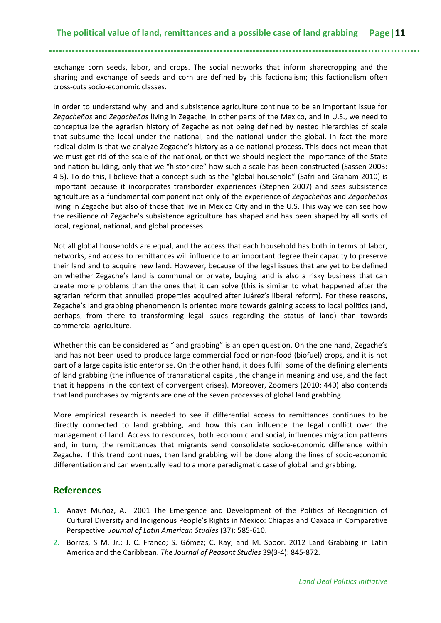exchange corn seeds, labor, and crops. The social networks that inform sharecropping and the sharing and exchange of seeds and corn are defined by this factionalism; this factionalism often cross-cuts socio-economic classes.

In order to understand why land and subsistence agriculture continue to be an important issue for *Zegacheños* and *Zegacheñas* living in Zegache, in other parts of the Mexico, and in U.S., we need to conceptualize the agrarian history of Zegache as not being defined by nested hierarchies of scale that subsume the local under the national, and the national under the global. In fact the more radical claim is that we analyze Zegache's history as a de-national process. This does not mean that we must get rid of the scale of the national, or that we should neglect the importance of the State and nation building, only that we "historicize" how such a scale has been constructed (Sassen 2003: 4-5). To do this, I believe that a concept such as the "global household" (Safri and Graham 2010) is important because it incorporates transborder experiences (Stephen 2007) and sees subsistence agriculture as a fundamental component not only of the experience of *Zegacheñas* and *Zegacheños* living in Zegache but also of those that live in Mexico City and in the U.S. This way we can see how the resilience of Zegache's subsistence agriculture has shaped and has been shaped by all sorts of local, regional, national, and global processes.

Not all global households are equal, and the access that each household has both in terms of labor, networks, and access to remittances will influence to an important degree their capacity to preserve their land and to acquire new land. However, because of the legal issues that are yet to be defined on whether Zegache's land is communal or private, buying land is also a risky business that can create more problems than the ones that it can solve (this is similar to what happened after the agrarian reform that annulled properties acquired after Juárez's liberal reform). For these reasons, Zegache's land grabbing phenomenon is oriented more towards gaining access to local politics (and, perhaps, from there to transforming legal issues regarding the status of land) than towards commercial agriculture.

Whether this can be considered as "land grabbing" is an open question. On the one hand, Zegache's land has not been used to produce large commercial food or non-food (biofuel) crops, and it is not part of a large capitalistic enterprise. On the other hand, it does fulfill some of the defining elements of land grabbing (the influence of transnational capital, the change in meaning and use, and the fact that it happens in the context of convergent crises). Moreover, Zoomers (2010: 440) also contends that land purchases by migrants are one of the seven processes of global land grabbing.

More empirical research is needed to see if differential access to remittances continues to be directly connected to land grabbing, and how this can influence the legal conflict over the management of land. Access to resources, both economic and social, influences migration patterns and, in turn, the remittances that migrants send consolidate socio-economic difference within Zegache. If this trend continues, then land grabbing will be done along the lines of socio-economic differentiation and can eventually lead to a more paradigmatic case of global land grabbing.

#### <span id="page-14-0"></span>**References**

- 1. Anaya Muñoz, A. 2001 The Emergence and Development of the Politics of Recognition of Cultural Diversity and Indigenous People's Rights in Mexico: Chiapas and Oaxaca in Comparative Perspective. *Journal of Latin American Studies* (37): 585-610.
- 2. Borras, S M. Jr.; J. C. Franco; S. Gómez; C. Kay; and M. Spoor. 2012 Land Grabbing in Latin America and the Caribbean. *The Journal of Peasant Studies* 39(3-4): 845-872.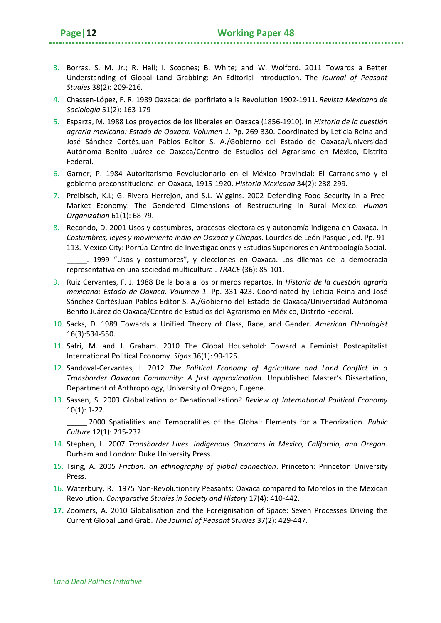- 4. Chassen-López, F. R. 1989 Oaxaca: del porfiriato a la Revolution 1902-1911. *Revista Mexicana de Sociología* 51(2): 163-179
- 5. Esparza, M. 1988 Los proyectos de los liberales en Oaxaca (1856-1910). In *Historia de la cuestión agraria mexicana: Estado de Oaxaca. Volumen 1.* Pp. 269-330. Coordinated by Leticia Reina and José Sánchez CortésJuan Pablos Editor S. A./Gobierno del Estado de Oaxaca/Universidad Autónoma Benito Juárez de Oaxaca/Centro de Estudios del Agrarismo en México, Distrito Federal.
- 6. Garner, P. 1984 Autoritarismo Revolucionario en el México Provincial: El Carrancismo y el gobierno preconstitucional en Oaxaca, 1915-1920. *Historia Mexicana* 34(2): 238-299.
- 7. Preibisch, K.L; G. Rivera Herrejon, and S.L. Wiggins. 2002 Defending Food Security in a Free-Market Economy: The Gendered Dimensions of Restructuring in Rural Mexico. *Human Organization* 61(1): 68-79.
- 8. Recondo, D. 2001 Usos y costumbres, procesos electorales y autonomía indígena en Oaxaca. In *Costumbres, leyes y movimiento indio en Oaxaca y Chiapas*. Lourdes de León Pasquel, ed. Pp. 91- 113. Mexico City: Porrúa-Centro de Investigaciones y Estudios Superiores en Antropología Social.

\_\_\_\_\_. 1999 "Usos y costumbres", y elecciones en Oaxaca. Los dilemas de la democracia representativa en una sociedad multicultural. *TRACE* (36): 85-101.

- 9. Ruiz Cervantes, F. J. 1988 De la bola a los primeros repartos. In *Historia de la cuestión agraria mexicana: Estado de Oaxaca. Volumen 1.* Pp. 331-423. Coordinated by Leticia Reina and José Sánchez CortésJuan Pablos Editor S. A./Gobierno del Estado de Oaxaca/Universidad Autónoma Benito Juárez de Oaxaca/Centro de Estudios del Agrarismo en México, Distrito Federal.
- 10. Sacks, D. 1989 Towards a Unified Theory of Class, Race, and Gender. *American Ethnologist* 16(3):534-550.
- 11. Safri, M. and J. Graham. 2010 The Global Household: Toward a Feminist Postcapitalist International Political Economy. *Signs* 36(1): 99-125.
- 12. Sandoval-Cervantes, I. 2012 *The Political Economy of Agriculture and Land Conflict in a Transborder Oaxacan Community: A first approximation*. Unpublished Master's Dissertation, Department of Anthropology, University of Oregon, Eugene.
- 13. Sassen, S. 2003 Globalization or Denationalization? *Review of International Political Economy* 10(1): 1-22.

\_\_\_\_\_.2000 Spatialities and Temporalities of the Global: Elements for a Theorization. *Public Culture* 12(1): 215-232.

- 14. Stephen, L. 2007 *Transborder Lives. Indigenous Oaxacans in Mexico, California, and Oregon*. Durham and London: Duke University Press.
- 15. Tsing, A. 2005 *Friction: an ethnography of global connection*. Princeton: Princeton University Press.
- 16. Waterbury, R. 1975 Non-Revolutionary Peasants: Oaxaca compared to Morelos in the Mexican Revolution. *Comparative Studies in Society and History* 17(4): 410-442.
- **17.** Zoomers, A. 2010 Globalisation and the Foreignisation of Space: Seven Processes Driving the Current Global Land Grab. *The Journal of Peasant Studies* 37(2): 429-447.

*Land Deal Politics Initiative*